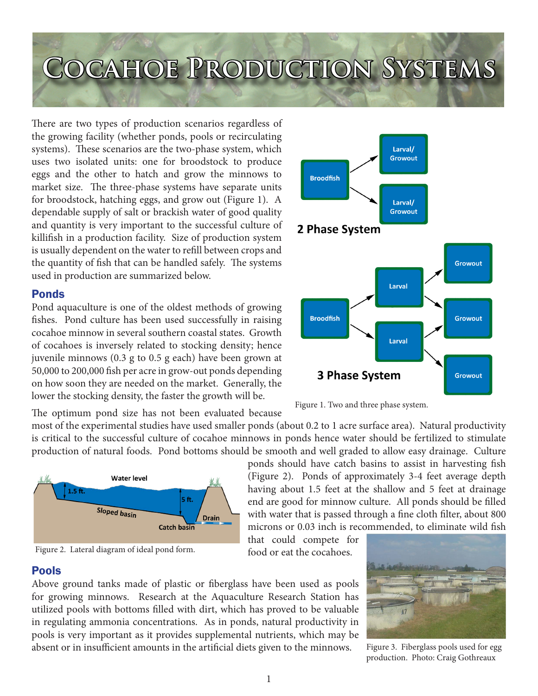## **Cocahoe Production Systems**

There are two types of production scenarios regardless of the growing facility (whether ponds, pools or recirculating systems). These scenarios are the two-phase system, which uses two isolated units: one for broodstock to produce eggs and the other to hatch and grow the minnows to market size. The three-phase systems have separate units for broodstock, hatching eggs, and grow out (Figure 1). A dependable supply of salt or brackish water of good quality and quantity is very important to the successful culture of killifish in a production facility. Size of production system is usually dependent on the water to refill between crops and the quantity of fish that can be handled safely. The systems used in production are summarized below.

## Ponds

Pond aquaculture is one of the oldest methods of growing fishes. Pond culture has been used successfully in raising cocahoe minnow in several southern coastal states. Growth of cocahoes is inversely related to stocking density; hence juvenile minnows (0.3 g to 0.5 g each) have been grown at 50,000 to 200,000 fish per acre in grow-out ponds depending on how soon they are needed on the market. Generally, the lower the stocking density, the faster the growth will be.

The optimum pond size has not been evaluated because

most of the experimental studies have used smaller ponds (about 0.2 to 1 acre surface area). Natural productivity is critical to the successful culture of cocahoe minnows in ponds hence water should be fertilized to stimulate production of natural foods. Pond bottoms should be smooth and well graded to allow easy drainage. Culture

> that could compete for food or eat the cocahoes.







Above ground tanks made of plastic or fiberglass have been used as pools for growing minnows. Research at the Aquaculture Research Station has utilized pools with bottoms filled with dirt, which has proved to be valuable in regulating ammonia concentrations. As in ponds, natural productivity in pools is very important as it provides supplemental nutrients, which may be absent or in insufficient amounts in the artificial diets given to the minnows.





ponds should have catch basins to assist in harvesting fish (Figure 2). Ponds of approximately 3-4 feet average depth having about 1.5 feet at the shallow and 5 feet at drainage end are good for minnow culture. All ponds should be filled with water that is passed through a fine cloth filter, about 800 microns or 0.03 inch is recommended, to eliminate wild fish

Figure 3. Fiberglass pools used for egg production. Photo: Craig Gothreaux